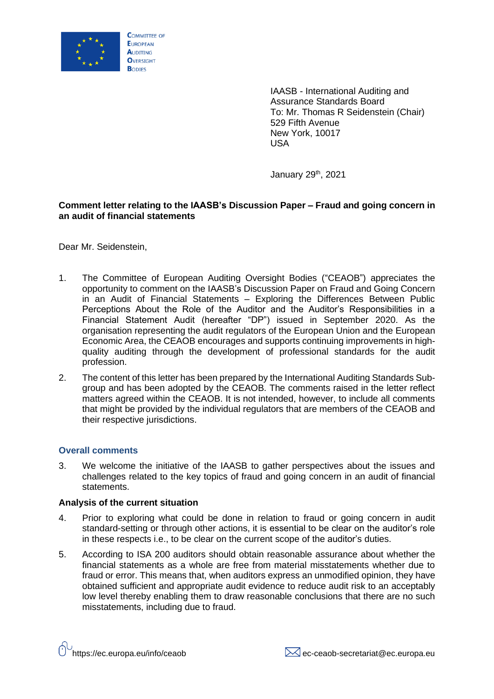

IAASB - International Auditing and Assurance Standards Board To: Mr. Thomas R Seidenstein (Chair) 529 Fifth Avenue New York, 10017 USA

January 29<sup>th</sup>, 2021

# **Comment letter relating to the IAASB's Discussion Paper – Fraud and going concern in an audit of financial statements**

Dear Mr. Seidenstein,

- 1. The Committee of European Auditing Oversight Bodies ("CEAOB") appreciates the opportunity to comment on the IAASB's Discussion Paper on Fraud and Going Concern in an Audit of Financial Statements – Exploring the Differences Between Public Perceptions About the Role of the Auditor and the Auditor's Responsibilities in a Financial Statement Audit (hereafter "DP") issued in September 2020. As the organisation representing the audit regulators of the European Union and the European Economic Area, the CEAOB encourages and supports continuing improvements in highquality auditing through the development of professional standards for the audit profession.
- 2. The content of this letter has been prepared by the International Auditing Standards Subgroup and has been adopted by the CEAOB. The comments raised in the letter reflect matters agreed within the CEAOB. It is not intended, however, to include all comments that might be provided by the individual regulators that are members of the CEAOB and their respective jurisdictions.

# **Overall comments**

3. We welcome the initiative of the IAASB to gather perspectives about the issues and challenges related to the key topics of fraud and going concern in an audit of financial statements.

## **Analysis of the current situation**

- 4. Prior to exploring what could be done in relation to fraud or going concern in audit standard-setting or through other actions, it is essential to be clear on the auditor's role in these respects i.e., to be clear on the current scope of the auditor's duties.
- 5. According to ISA 200 auditors should obtain reasonable assurance about whether the financial statements as a whole are free from material misstatements whether due to fraud or error. This means that, when auditors express an unmodified opinion, they have obtained sufficient and appropriate audit evidence to reduce audit risk to an acceptably low level thereby enabling them to draw reasonable conclusions that there are no such misstatements, including due to fraud.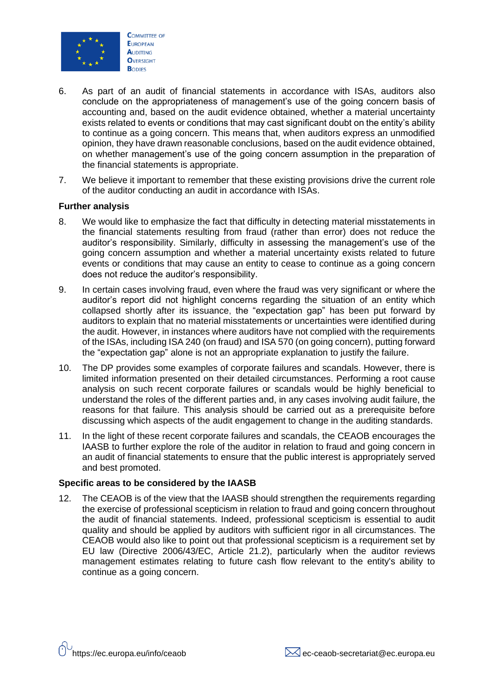

- 6. As part of an audit of financial statements in accordance with ISAs, auditors also conclude on the appropriateness of management's use of the going concern basis of accounting and, based on the audit evidence obtained, whether a material uncertainty exists related to events or conditions that may cast significant doubt on the entity's ability to continue as a going concern. This means that, when auditors express an unmodified opinion, they have drawn reasonable conclusions, based on the audit evidence obtained, on whether management's use of the going concern assumption in the preparation of the financial statements is appropriate.
- 7. We believe it important to remember that these existing provisions drive the current role of the auditor conducting an audit in accordance with ISAs.

### **Further analysis**

- 8. We would like to emphasize the fact that difficulty in detecting material misstatements in the financial statements resulting from fraud (rather than error) does not reduce the auditor's responsibility. Similarly, difficulty in assessing the management's use of the going concern assumption and whether a material uncertainty exists related to future events or conditions that may cause an entity to cease to continue as a going concern does not reduce the auditor's responsibility.
- 9. In certain cases involving fraud, even where the fraud was very significant or where the auditor's report did not highlight concerns regarding the situation of an entity which collapsed shortly after its issuance, the "expectation gap" has been put forward by auditors to explain that no material misstatements or uncertainties were identified during the audit. However, in instances where auditors have not complied with the requirements of the ISAs, including ISA 240 (on fraud) and ISA 570 (on going concern), putting forward the "expectation gap" alone is not an appropriate explanation to justify the failure.
- 10. The DP provides some examples of corporate failures and scandals. However, there is limited information presented on their detailed circumstances. Performing a root cause analysis on such recent corporate failures or scandals would be highly beneficial to understand the roles of the different parties and, in any cases involving audit failure, the reasons for that failure. This analysis should be carried out as a prerequisite before discussing which aspects of the audit engagement to change in the auditing standards.
- 11. In the light of these recent corporate failures and scandals, the CEAOB encourages the IAASB to further explore the role of the auditor in relation to fraud and going concern in an audit of financial statements to ensure that the public interest is appropriately served and best promoted.

#### **Specific areas to be considered by the IAASB**

12. The CEAOB is of the view that the IAASB should strengthen the requirements regarding the exercise of professional scepticism in relation to fraud and going concern throughout the audit of financial statements. Indeed, professional scepticism is essential to audit quality and should be applied by auditors with sufficient rigor in all circumstances. The CEAOB would also like to point out that professional scepticism is a requirement set by EU law (Directive 2006/43/EC, Article 21.2), particularly when the auditor reviews management estimates relating to future cash flow relevant to the entity's ability to continue as a going concern.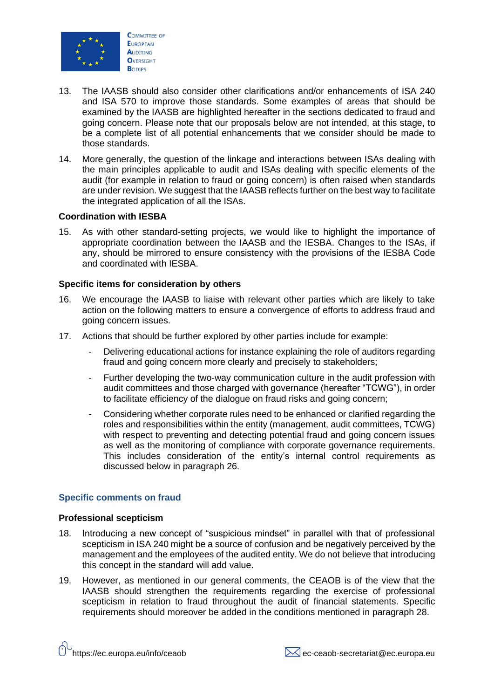

- 13. The IAASB should also consider other clarifications and/or enhancements of ISA 240 and ISA 570 to improve those standards. Some examples of areas that should be examined by the IAASB are highlighted hereafter in the sections dedicated to fraud and going concern. Please note that our proposals below are not intended, at this stage, to be a complete list of all potential enhancements that we consider should be made to those standards.
- 14. More generally, the question of the linkage and interactions between ISAs dealing with the main principles applicable to audit and ISAs dealing with specific elements of the audit (for example in relation to fraud or going concern) is often raised when standards are under revision. We suggest that the IAASB reflects further on the best way to facilitate the integrated application of all the ISAs.

### **Coordination with IESBA**

15. As with other standard-setting projects, we would like to highlight the importance of appropriate coordination between the IAASB and the IESBA. Changes to the ISAs, if any, should be mirrored to ensure consistency with the provisions of the IESBA Code and coordinated with IESBA.

# **Specific items for consideration by others**

- 16. We encourage the IAASB to liaise with relevant other parties which are likely to take action on the following matters to ensure a convergence of efforts to address fraud and going concern issues.
- 17. Actions that should be further explored by other parties include for example:
	- Delivering educational actions for instance explaining the role of auditors regarding fraud and going concern more clearly and precisely to stakeholders;
	- Further developing the two-way communication culture in the audit profession with audit committees and those charged with governance (hereafter "TCWG"), in order to facilitate efficiency of the dialogue on fraud risks and going concern;
	- Considering whether corporate rules need to be enhanced or clarified regarding the roles and responsibilities within the entity (management, audit committees, TCWG) with respect to preventing and detecting potential fraud and going concern issues as well as the monitoring of compliance with corporate governance requirements. This includes consideration of the entity's internal control requirements as discussed below in paragraph 26.

# **Specific comments on fraud**

#### **Professional scepticism**

- 18. Introducing a new concept of "suspicious mindset" in parallel with that of professional scepticism in ISA 240 might be a source of confusion and be negatively perceived by the management and the employees of the audited entity. We do not believe that introducing this concept in the standard will add value.
- 19. However, as mentioned in our general comments, the CEAOB is of the view that the IAASB should strengthen the requirements regarding the exercise of professional scepticism in relation to fraud throughout the audit of financial statements. Specific requirements should moreover be added in the conditions mentioned in paragraph 28.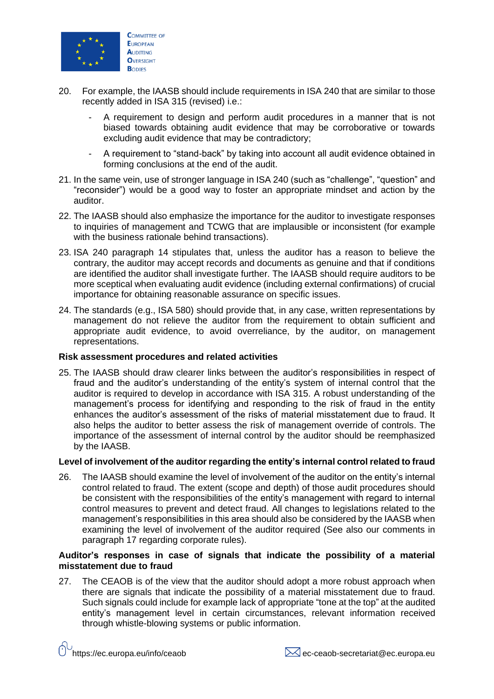

- 20. For example, the IAASB should include requirements in ISA 240 that are similar to those recently added in ISA 315 (revised) i.e.:
	- A requirement to design and perform audit procedures in a manner that is not biased towards obtaining audit evidence that may be corroborative or towards excluding audit evidence that may be contradictory;
	- A requirement to "stand-back" by taking into account all audit evidence obtained in forming conclusions at the end of the audit.
- 21. In the same vein, use of stronger language in ISA 240 (such as "challenge", "question" and "reconsider") would be a good way to foster an appropriate mindset and action by the auditor.
- 22. The IAASB should also emphasize the importance for the auditor to investigate responses to inquiries of management and TCWG that are implausible or inconsistent (for example with the business rationale behind transactions).
- 23. ISA 240 paragraph 14 stipulates that, unless the auditor has a reason to believe the contrary, the auditor may accept records and documents as genuine and that if conditions are identified the auditor shall investigate further. The IAASB should require auditors to be more sceptical when evaluating audit evidence (including external confirmations) of crucial importance for obtaining reasonable assurance on specific issues.
- 24. The standards (e.g., ISA 580) should provide that, in any case, written representations by management do not relieve the auditor from the requirement to obtain sufficient and appropriate audit evidence, to avoid overreliance, by the auditor, on management representations.

# **Risk assessment procedures and related activities**

25. The IAASB should draw clearer links between the auditor's responsibilities in respect of fraud and the auditor's understanding of the entity's system of internal control that the auditor is required to develop in accordance with ISA 315. A robust understanding of the management's process for identifying and responding to the risk of fraud in the entity enhances the auditor's assessment of the risks of material misstatement due to fraud. It also helps the auditor to better assess the risk of management override of controls. The importance of the assessment of internal control by the auditor should be reemphasized by the IAASB.

# **Level of involvement of the auditor regarding the entity's internal control related to fraud**

26. The IAASB should examine the level of involvement of the auditor on the entity's internal control related to fraud. The extent (scope and depth) of those audit procedures should be consistent with the responsibilities of the entity's management with regard to internal control measures to prevent and detect fraud. All changes to legislations related to the management's responsibilities in this area should also be considered by the IAASB when examining the level of involvement of the auditor required (See also our comments in paragraph 17 regarding corporate rules).

# **Auditor's responses in case of signals that indicate the possibility of a material misstatement due to fraud**

27. The CEAOB is of the view that the auditor should adopt a more robust approach when there are signals that indicate the possibility of a material misstatement due to fraud. Such signals could include for example lack of appropriate "tone at the top" at the audited entity's management level in certain circumstances, relevant information received through whistle-blowing systems or public information.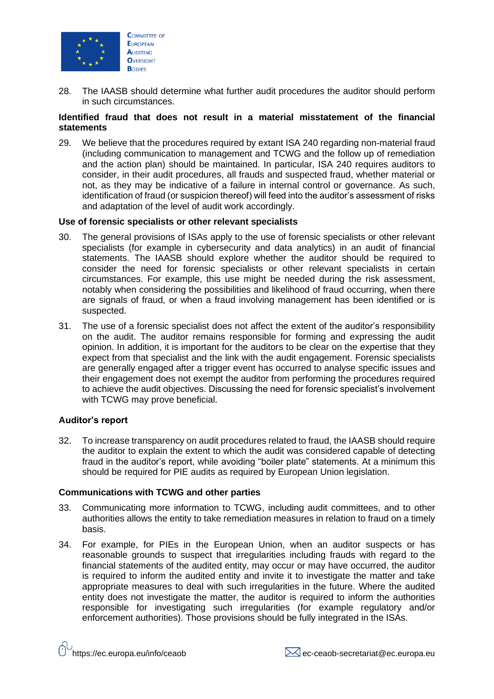

28. The IAASB should determine what further audit procedures the auditor should perform in such circumstances.

### **Identified fraud that does not result in a material misstatement of the financial statements**

29. We believe that the procedures required by extant ISA 240 regarding non-material fraud (including communication to management and TCWG and the follow up of remediation and the action plan) should be maintained. In particular, ISA 240 requires auditors to consider, in their audit procedures, all frauds and suspected fraud, whether material or not, as they may be indicative of a failure in internal control or governance. As such, identification of fraud (or suspicion thereof) will feed into the auditor's assessment of risks and adaptation of the level of audit work accordingly.

### **Use of forensic specialists or other relevant specialists**

- 30. The general provisions of ISAs apply to the use of forensic specialists or other relevant specialists (for example in cybersecurity and data analytics) in an audit of financial statements. The IAASB should explore whether the auditor should be required to consider the need for forensic specialists or other relevant specialists in certain circumstances. For example, this use might be needed during the risk assessment, notably when considering the possibilities and likelihood of fraud occurring, when there are signals of fraud, or when a fraud involving management has been identified or is suspected.
- 31. The use of a forensic specialist does not affect the extent of the auditor's responsibility on the audit. The auditor remains responsible for forming and expressing the audit opinion. In addition, it is important for the auditors to be clear on the expertise that they expect from that specialist and the link with the audit engagement. Forensic specialists are generally engaged after a trigger event has occurred to analyse specific issues and their engagement does not exempt the auditor from performing the procedures required to achieve the audit objectives. Discussing the need for forensic specialist's involvement with TCWG may prove beneficial.

# **Auditor's report**

32. To increase transparency on audit procedures related to fraud, the IAASB should require the auditor to explain the extent to which the audit was considered capable of detecting fraud in the auditor's report, while avoiding "boiler plate" statements. At a minimum this should be required for PIE audits as required by European Union legislation.

#### **Communications with TCWG and other parties**

- 33. Communicating more information to TCWG, including audit committees, and to other authorities allows the entity to take remediation measures in relation to fraud on a timely basis.
- 34. For example, for PIEs in the European Union, when an auditor suspects or has reasonable grounds to suspect that irregularities including frauds with regard to the financial statements of the audited entity, may occur or may have occurred, the auditor is required to inform the audited entity and invite it to investigate the matter and take appropriate measures to deal with such irregularities in the future. Where the audited entity does not investigate the matter, the auditor is required to inform the authorities responsible for investigating such irregularities (for example regulatory and/or enforcement authorities). Those provisions should be fully integrated in the ISAs.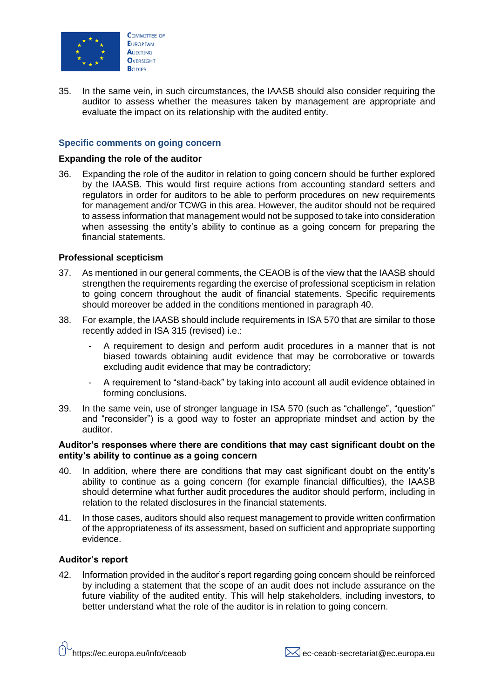

35. In the same vein, in such circumstances, the IAASB should also consider requiring the auditor to assess whether the measures taken by management are appropriate and evaluate the impact on its relationship with the audited entity.

# **Specific comments on going concern**

### **Expanding the role of the auditor**

36. Expanding the role of the auditor in relation to going concern should be further explored by the IAASB. This would first require actions from accounting standard setters and regulators in order for auditors to be able to perform procedures on new requirements for management and/or TCWG in this area. However, the auditor should not be required to assess information that management would not be supposed to take into consideration when assessing the entity's ability to continue as a going concern for preparing the financial statements.

# **Professional scepticism**

- 37. As mentioned in our general comments, the CEAOB is of the view that the IAASB should strengthen the requirements regarding the exercise of professional scepticism in relation to going concern throughout the audit of financial statements. Specific requirements should moreover be added in the conditions mentioned in paragraph 40.
- 38. For example, the IAASB should include requirements in ISA 570 that are similar to those recently added in ISA 315 (revised) i.e.:
	- A requirement to design and perform audit procedures in a manner that is not biased towards obtaining audit evidence that may be corroborative or towards excluding audit evidence that may be contradictory;
	- A requirement to "stand-back" by taking into account all audit evidence obtained in forming conclusions.
- 39. In the same vein, use of stronger language in ISA 570 (such as "challenge", "question" and "reconsider") is a good way to foster an appropriate mindset and action by the auditor.

### **Auditor's responses where there are conditions that may cast significant doubt on the entity's ability to continue as a going concern**

- 40. In addition, where there are conditions that may cast significant doubt on the entity's ability to continue as a going concern (for example financial difficulties), the IAASB should determine what further audit procedures the auditor should perform, including in relation to the related disclosures in the financial statements.
- 41. In those cases, auditors should also request management to provide written confirmation of the appropriateness of its assessment, based on sufficient and appropriate supporting evidence.

#### **Auditor's report**

42. Information provided in the auditor's report regarding going concern should be reinforced by including a statement that the scope of an audit does not include assurance on the future viability of the audited entity. This will help stakeholders, including investors, to better understand what the role of the auditor is in relation to going concern.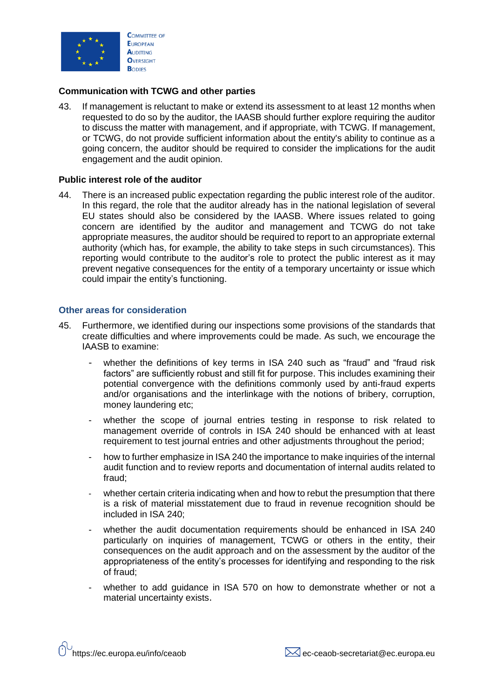

### **Communication with TCWG and other parties**

43. If management is reluctant to make or extend its assessment to at least 12 months when requested to do so by the auditor, the IAASB should further explore requiring the auditor to discuss the matter with management, and if appropriate, with TCWG. If management, or TCWG, do not provide sufficient information about the entity's ability to continue as a going concern, the auditor should be required to consider the implications for the audit engagement and the audit opinion.

#### **Public interest role of the auditor**

44. There is an increased public expectation regarding the public interest role of the auditor. In this regard, the role that the auditor already has in the national legislation of several EU states should also be considered by the IAASB. Where issues related to going concern are identified by the auditor and management and TCWG do not take appropriate measures, the auditor should be required to report to an appropriate external authority (which has, for example, the ability to take steps in such circumstances). This reporting would contribute to the auditor's role to protect the public interest as it may prevent negative consequences for the entity of a temporary uncertainty or issue which could impair the entity's functioning.

#### **Other areas for consideration**

- 45. Furthermore, we identified during our inspections some provisions of the standards that create difficulties and where improvements could be made. As such, we encourage the IAASB to examine:
	- whether the definitions of key terms in ISA 240 such as "fraud" and "fraud risk factors" are sufficiently robust and still fit for purpose. This includes examining their potential convergence with the definitions commonly used by anti-fraud experts and/or organisations and the interlinkage with the notions of bribery, corruption, money laundering etc;
	- whether the scope of journal entries testing in response to risk related to management override of controls in ISA 240 should be enhanced with at least requirement to test journal entries and other adjustments throughout the period;
	- how to further emphasize in ISA 240 the importance to make inquiries of the internal audit function and to review reports and documentation of internal audits related to fraud;
	- whether certain criteria indicating when and how to rebut the presumption that there is a risk of material misstatement due to fraud in revenue recognition should be included in ISA 240;
	- whether the audit documentation requirements should be enhanced in ISA 240 particularly on inquiries of management, TCWG or others in the entity, their consequences on the audit approach and on the assessment by the auditor of the appropriateness of the entity's processes for identifying and responding to the risk of fraud;
	- whether to add guidance in ISA 570 on how to demonstrate whether or not a material uncertainty exists.